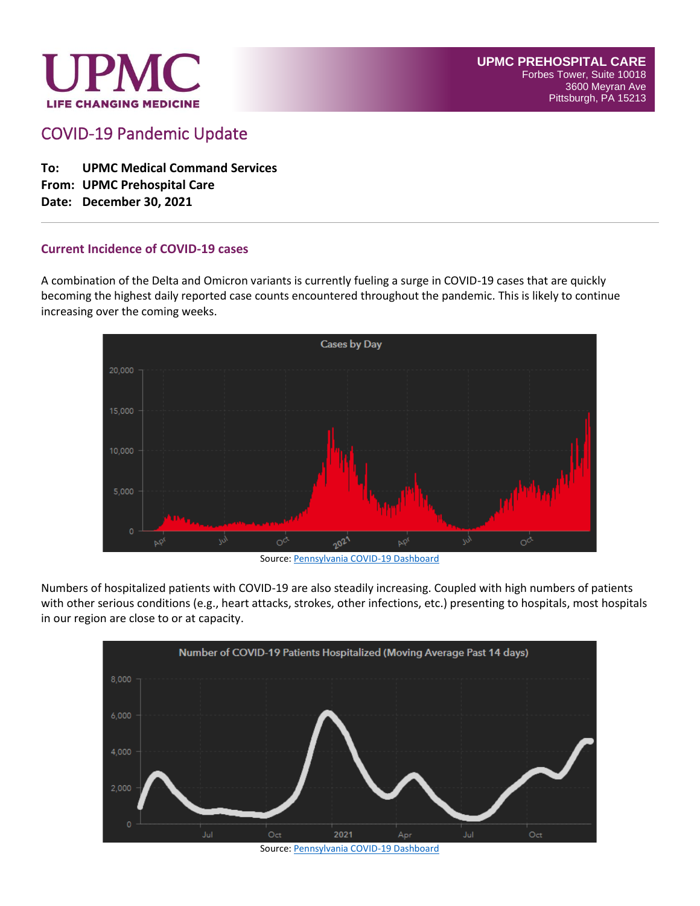

COVID-19 Pandemic Update

**To: UPMC Medical Command Services From: UPMC Prehospital Care Date: December 30, 2021**

#### **Current Incidence of COVID-19 cases**

A combination of the Delta and Omicron variants is currently fueling a surge in COVID-19 cases that are quickly becoming the highest daily reported case counts encountered throughout the pandemic. This is likely to continue increasing over the coming weeks.



Source[: Pennsylvania COVID-19 Dashboard](https://experience.arcgis.com/experience/ed2def13f9b045eda9f7d22dbc9b500e)

Numbers of hospitalized patients with COVID-19 are also steadily increasing. Coupled with high numbers of patients with other serious conditions (e.g., heart attacks, strokes, other infections, etc.) presenting to hospitals, most hospitals in our region are close to or at capacity.



Source[: Pennsylvania COVID-19 Dashboard](https://experience.arcgis.com/experience/ed2def13f9b045eda9f7d22dbc9b500e)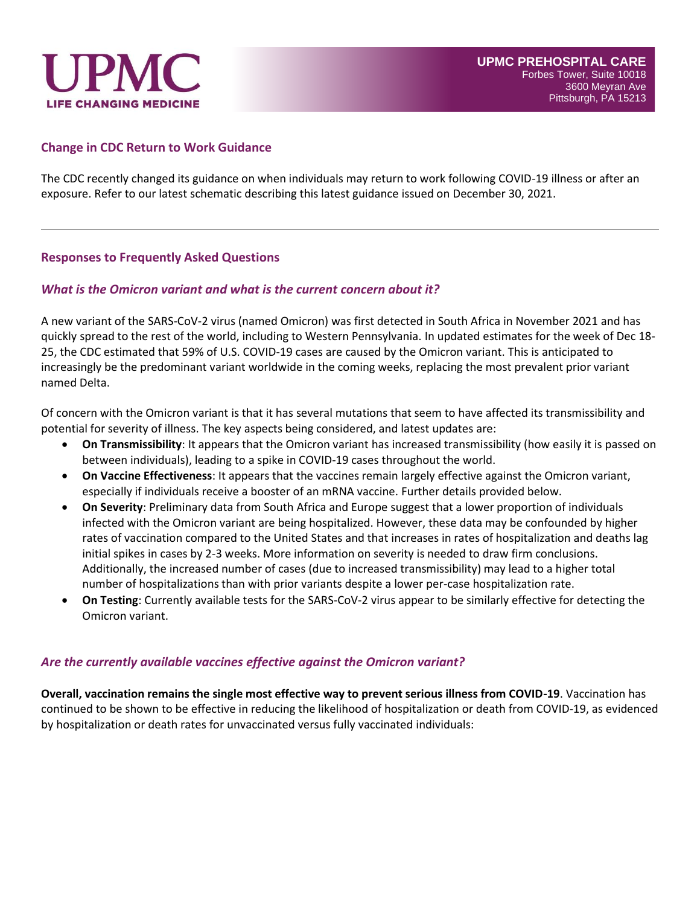

### **Change in CDC Return to Work Guidance**

The CDC recently changed its guidance on when individuals may return to work following COVID-19 illness or after an exposure. Refer to our latest schematic describing this latest guidance issued on December 30, 2021.

### **Responses to Frequently Asked Questions**

### *What is the Omicron variant and what is the current concern about it?*

A new variant of the SARS-CoV-2 virus (named Omicron) was first detected in South Africa in November 2021 and has quickly spread to the rest of the world, including to Western Pennsylvania. In updated estimates for the week of Dec 18- 25, the CDC estimated that 59% of U.S. COVID-19 cases are caused by the Omicron variant. This is anticipated to increasingly be the predominant variant worldwide in the coming weeks, replacing the most prevalent prior variant named Delta.

Of concern with the Omicron variant is that it has several mutations that seem to have affected its transmissibility and potential for severity of illness. The key aspects being considered, and latest updates are:

- **On Transmissibility**: It appears that the Omicron variant has increased transmissibility (how easily it is passed on between individuals), leading to a spike in COVID-19 cases throughout the world.
- **On Vaccine Effectiveness**: It appears that the vaccines remain largely effective against the Omicron variant, especially if individuals receive a booster of an mRNA vaccine. Further details provided below.
- **On Severity**: Preliminary data from South Africa and Europe suggest that a lower proportion of individuals infected with the Omicron variant are being hospitalized. However, these data may be confounded by higher rates of vaccination compared to the United States and that increases in rates of hospitalization and deaths lag initial spikes in cases by 2-3 weeks. More information on severity is needed to draw firm conclusions. Additionally, the increased number of cases (due to increased transmissibility) may lead to a higher total number of hospitalizations than with prior variants despite a lower per-case hospitalization rate.
- **On Testing**: Currently available tests for the SARS-CoV-2 virus appear to be similarly effective for detecting the Omicron variant.

#### *Are the currently available vaccines effective against the Omicron variant?*

**Overall, vaccination remains the single most effective way to prevent serious illness from COVID-19**. Vaccination has continued to be shown to be effective in reducing the likelihood of hospitalization or death from COVID-19, as evidenced by hospitalization or death rates for unvaccinated versus fully vaccinated individuals: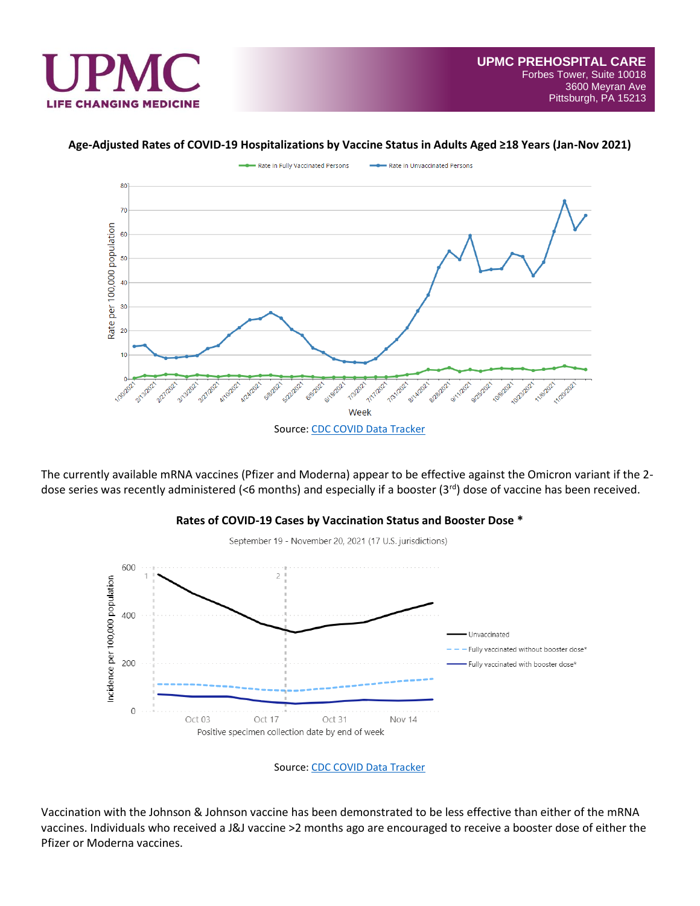

### **Age-Adjusted Rates of COVID-19 Hospitalizations by Vaccine Status in Adults Aged ≥18 Years (Jan-Nov 2021)**



The currently available mRNA vaccines (Pfizer and Moderna) appear to be effective against the Omicron variant if the 2 dose series was recently administered (<6 months) and especially if a booster (3rd) dose of vaccine has been received.





Vaccination with the Johnson & Johnson vaccine has been demonstrated to be less effective than either of the mRNA vaccines. Individuals who received a J&J vaccine >2 months ago are encouraged to receive a booster dose of either the Pfizer or Moderna vaccines.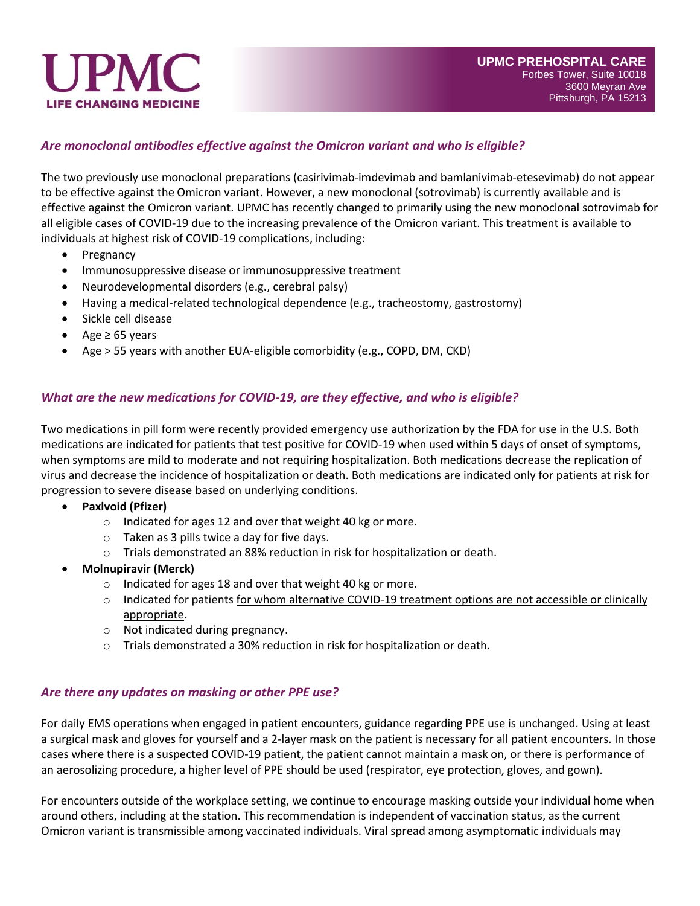

# *Are monoclonal antibodies effective against the Omicron variant and who is eligible?*

The two previously use monoclonal preparations (casirivimab-imdevimab and bamlanivimab-etesevimab) do not appear to be effective against the Omicron variant. However, a new monoclonal (sotrovimab) is currently available and is effective against the Omicron variant. UPMC has recently changed to primarily using the new monoclonal sotrovimab for all eligible cases of COVID-19 due to the increasing prevalence of the Omicron variant. This treatment is available to individuals at highest risk of COVID-19 complications, including:

- Pregnancy
- Immunosuppressive disease or immunosuppressive treatment
- Neurodevelopmental disorders (e.g., cerebral palsy)
- Having a medical-related technological dependence (e.g., tracheostomy, gastrostomy)
- Sickle cell disease
- Age ≥ 65 years
- Age > 55 years with another EUA-eligible comorbidity (e.g., COPD, DM, CKD)

# *What are the new medications for COVID-19, are they effective, and who is eligible?*

Two medications in pill form were recently provided emergency use authorization by the FDA for use in the U.S. Both medications are indicated for patients that test positive for COVID-19 when used within 5 days of onset of symptoms, when symptoms are mild to moderate and not requiring hospitalization. Both medications decrease the replication of virus and decrease the incidence of hospitalization or death. Both medications are indicated only for patients at risk for progression to severe disease based on underlying conditions.

- **Paxlvoid (Pfizer)**
	- o Indicated for ages 12 and over that weight 40 kg or more.
	- $\circ$  Taken as 3 pills twice a day for five days.
	- o Trials demonstrated an 88% reduction in risk for hospitalization or death.
- **Molnupiravir (Merck)**
	- o Indicated for ages 18 and over that weight 40 kg or more.
	- o Indicated for patients for whom alternative COVID-19 treatment options are not accessible or clinically appropriate.
	- o Not indicated during pregnancy.
	- o Trials demonstrated a 30% reduction in risk for hospitalization or death.

# *Are there any updates on masking or other PPE use?*

For daily EMS operations when engaged in patient encounters, guidance regarding PPE use is unchanged. Using at least a surgical mask and gloves for yourself and a 2-layer mask on the patient is necessary for all patient encounters. In those cases where there is a suspected COVID-19 patient, the patient cannot maintain a mask on, or there is performance of an aerosolizing procedure, a higher level of PPE should be used (respirator, eye protection, gloves, and gown).

For encounters outside of the workplace setting, we continue to encourage masking outside your individual home when around others, including at the station. This recommendation is independent of vaccination status, as the current Omicron variant is transmissible among vaccinated individuals. Viral spread among asymptomatic individuals may